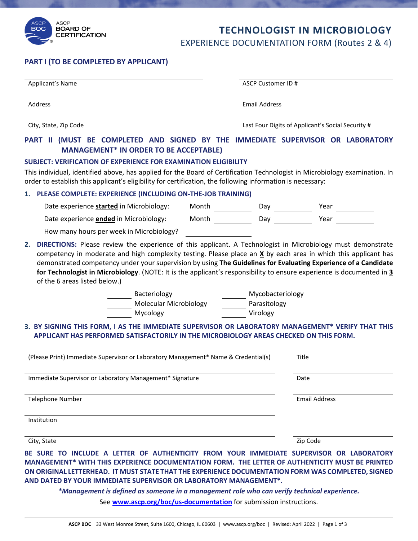

## **TECHNOLOGIST IN MICROBIOLOGY** EXPERIENCE DOCUMENTATION FORM (Routes 2 & 4)

## **PART I (TO BE COMPLETED BY APPLICANT)**

| Applicant's Name                                                                                                                                                                                                                                                                                                                                                                                                                                                      | ASCP Customer ID #                           |                                                                           |  |
|-----------------------------------------------------------------------------------------------------------------------------------------------------------------------------------------------------------------------------------------------------------------------------------------------------------------------------------------------------------------------------------------------------------------------------------------------------------------------|----------------------------------------------|---------------------------------------------------------------------------|--|
| Address                                                                                                                                                                                                                                                                                                                                                                                                                                                               |                                              | <b>Email Address</b><br>Last Four Digits of Applicant's Social Security # |  |
| City, State, Zip Code                                                                                                                                                                                                                                                                                                                                                                                                                                                 |                                              |                                                                           |  |
| PART II (MUST BE COMPLETED AND SIGNED BY THE IMMEDIATE SUPERVISOR OR LABORATORY<br><b>MANAGEMENT* IN ORDER TO BE ACCEPTABLE)</b><br><b>SUBJECT: VERIFICATION OF EXPERIENCE FOR EXAMINATION ELIGIBILITY</b><br>This individual, identified above, has applied for the Board of Certification Technologist in Microbiology examination. In<br>order to establish this applicant's eligibility for certification, the following information is necessary:                |                                              |                                                                           |  |
| 1. PLEASE COMPLETE: EXPERIENCE (INCLUDING ON-THE-JOB TRAINING)                                                                                                                                                                                                                                                                                                                                                                                                        |                                              |                                                                           |  |
| Date experience started in Microbiology:                                                                                                                                                                                                                                                                                                                                                                                                                              |                                              | Month <u>Day</u> Day <u>Cambridge Mear</u> Year 2008                      |  |
| Date experience <b>ended</b> in Microbiology: Month Day Day Near 2012 1947                                                                                                                                                                                                                                                                                                                                                                                            |                                              |                                                                           |  |
| How many hours per week in Microbiology?                                                                                                                                                                                                                                                                                                                                                                                                                              |                                              |                                                                           |  |
| of the 6 areas listed below.)<br>Bacteriology<br>Molecular Microbiology<br>Mycology<br>3. BY SIGNING THIS FORM, I AS THE IMMEDIATE SUPERVISOR OR LABORATORY MANAGEMENT* VERIFY THAT THIS<br>APPLICANT HAS PERFORMED SATISFACTORILY IN THE MICROBIOLOGY AREAS CHECKED ON THIS FORM.                                                                                                                                                                                    | Mycobacteriology<br>Parasitology<br>Virology |                                                                           |  |
| (Please Print) Immediate Supervisor or Laboratory Management* Name & Credential(s)                                                                                                                                                                                                                                                                                                                                                                                    |                                              | Title                                                                     |  |
| Immediate Supervisor or Laboratory Management* Signature                                                                                                                                                                                                                                                                                                                                                                                                              |                                              | Date                                                                      |  |
| <b>Telephone Number</b>                                                                                                                                                                                                                                                                                                                                                                                                                                               |                                              | <b>Email Address</b>                                                      |  |
| Institution                                                                                                                                                                                                                                                                                                                                                                                                                                                           |                                              |                                                                           |  |
| City, State                                                                                                                                                                                                                                                                                                                                                                                                                                                           |                                              | Zip Code                                                                  |  |
| BE SURE TO INCLUDE A LETTER OF AUTHENTICITY FROM YOUR IMMEDIATE SUPERVISOR OR LABORATORY<br>MANAGEMENT* WITH THIS EXPERIENCE DOCUMENTATION FORM. THE LETTER OF AUTHENTICITY MUST BE PRINTED<br>ON ORIGINAL LETTERHEAD. IT MUST STATE THAT THE EXPERIENCE DOCUMENTATION FORM WAS COMPLETED, SIGNED<br>AND DATED BY YOUR IMMEDIATE SUPERVISOR OR LABORATORY MANAGEMENT*.<br>*Management is defined as someone in a management role who can verify technical experience. |                                              |                                                                           |  |

See **www.ascp.org/boc/us-documentation** for submission instructions.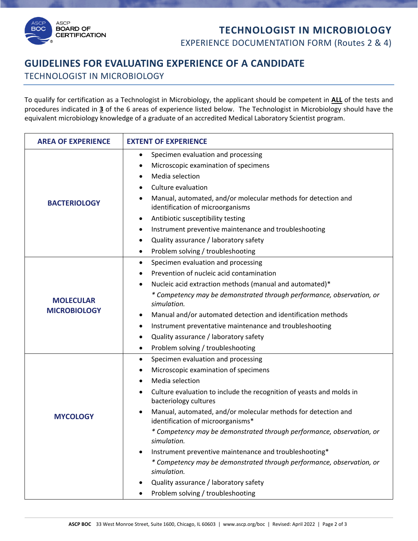## **TECHNOLOGIST IN MICROBIOLOGY** EXPERIENCE DOCUMENTATION FORM (Routes 2 & 4)



**ASCP BOARD OF** 

**CERTIFICATION** 

**BOC** 

To qualify for certification as a Technologist in Microbiology, the applicant should be competent in **ALL** of the tests and procedures indicated in **3** of the 6 areas of experience listed below. The Technologist in Microbiology should have the equivalent microbiology knowledge of a graduate of an accredited Medical Laboratory Scientist program.

| <b>AREA OF EXPERIENCE</b>               | <b>EXTENT OF EXPERIENCE</b>                                                                                |
|-----------------------------------------|------------------------------------------------------------------------------------------------------------|
| <b>BACTERIOLOGY</b>                     | Specimen evaluation and processing<br>$\bullet$                                                            |
|                                         | Microscopic examination of specimens<br>٠                                                                  |
|                                         | Media selection<br>$\bullet$                                                                               |
|                                         | Culture evaluation<br>$\bullet$                                                                            |
|                                         | Manual, automated, and/or molecular methods for detection and<br>٠<br>identification of microorganisms     |
|                                         | Antibiotic susceptibility testing<br>$\bullet$                                                             |
|                                         | Instrument preventive maintenance and troubleshooting<br>٠                                                 |
|                                         | Quality assurance / laboratory safety<br>$\bullet$                                                         |
|                                         | Problem solving / troubleshooting<br>$\bullet$                                                             |
| <b>MOLECULAR</b><br><b>MICROBIOLOGY</b> | Specimen evaluation and processing<br>$\bullet$                                                            |
|                                         | Prevention of nucleic acid contamination<br>$\bullet$                                                      |
|                                         | Nucleic acid extraction methods (manual and automated)*<br>$\bullet$                                       |
|                                         | * Competency may be demonstrated through performance, observation, or<br>simulation.                       |
|                                         | Manual and/or automated detection and identification methods<br>٠                                          |
|                                         | Instrument preventative maintenance and troubleshooting<br>٠                                               |
|                                         | Quality assurance / laboratory safety<br>$\bullet$                                                         |
|                                         | Problem solving / troubleshooting<br>$\bullet$                                                             |
|                                         | Specimen evaluation and processing<br>$\bullet$                                                            |
| <b>MYCOLOGY</b>                         | Microscopic examination of specimens<br>٠                                                                  |
|                                         | Media selection<br>$\bullet$                                                                               |
|                                         | Culture evaluation to include the recognition of yeasts and molds in<br>$\bullet$<br>bacteriology cultures |
|                                         | Manual, automated, and/or molecular methods for detection and<br>identification of microorganisms*         |
|                                         | * Competency may be demonstrated through performance, observation, or<br>simulation.                       |
|                                         | Instrument preventive maintenance and troubleshooting*                                                     |
|                                         | * Competency may be demonstrated through performance, observation, or<br>simulation.                       |
|                                         | Quality assurance / laboratory safety                                                                      |
|                                         | Problem solving / troubleshooting                                                                          |